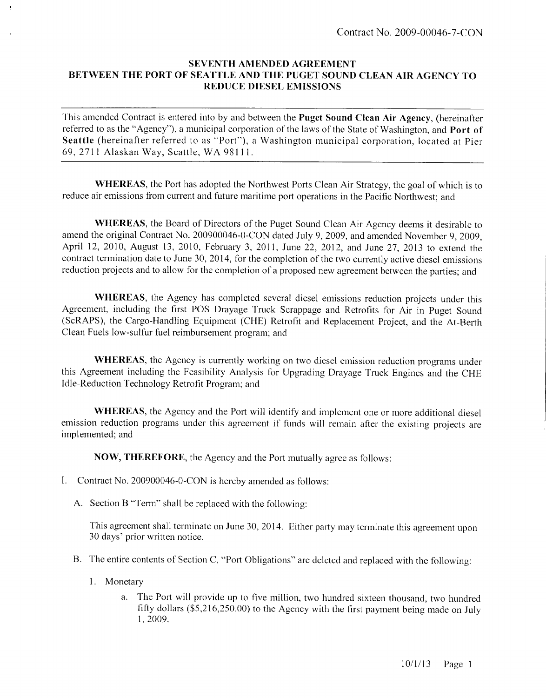## **SEVENTH AMENDED AGREEMENT BETWEEN THE PORT OF SEATTLE AND THE PUGET SOUND** CLEAN **AIR AGENCY TO REDUCE DIESEL EMISSIONS**

This amended Contract is entered into by and between the **Puget Sound Clean Air Agency,** (hereinafter referred to as the "Agency"), a municipal corporation of the laws of the State of Washington, and **Port of Seattle** (hereinafter referred to as "Port"), a Washington municipal corporation, located at Pier 69, 2711 Alaskan Way, Seattle, WA 98111.

**WHEREAS,** the Port has adopted the Northwest Ports Clean Air Strategy, the goal of which is to reduce air emissions from current and future maritime port operations in the Pacific Northwest; and

**WHEREAS,** the Board of Directors of the Puget Sound Clean Air Agency deems it desirable to amend the original Contract No. 200900046-0-CON dated July 9, 2009, and amended November 9, 2009, April 12, 2010, August 13, 2010, February 3, 2011, June 22, 2012, and June 27, 2013 to extend the contract tennination date to June 30, 2014, for the completion of the two currently active diesel emissions reduction projects and to allow for the completion of a proposed new agreement between the parties; and

**WHEREAS,** the Agency has completed several diesel emissions reduction projects under this Agreement, including the first POS Drayage Truck Scrappage and Retrofits for Air in Puget Sound (ScRAPS), the Cargo-Handling Equipment (CHE) Retrofit and Replacement Project, and the At-Berth Clean Fuels low-sulfur fuel reimbursement program; and

**WHEREAS,** the Agency is currently working on two diesel emission reduction programs under this Agreement including the Feasibility Analysis for Upgrading Drayage Truck Engines and the CHE Idle-Reduction Technology Retrofit Program; and

**WHEREAS,** the Agency and the Port will identify and implement one or more additional diesel emission reduction programs under this agreement if funds will remain after the existing projects are implemented; and

**NOW, THEREFORE,** the Agency and the Port mutually agree as follows:

- I. Contract No. 200900046-0-CON is hereby amended as follows:
	- A. Section B "Term" shall be replaced with the following:

This agreement shall terminate on June 30, 2014. Either party may terminate this agreement upon 30 days' prior written notice.

- B. The entire contents of Section C, "Port Obligations" are deleted and replaced with the following:
	- 1. Monetary
		- a. The Port will provide up to five million, two hundred sixteen thousand, two hundred fifty dollars (\$5,216,250.00) to the Agency with the first payment being made on July 1,2009.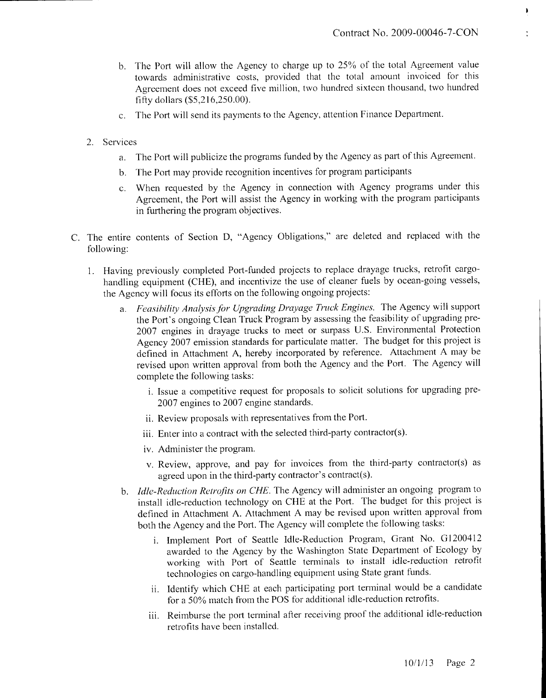Þ

- b. The Port will allow the Agency to charge up to 25% of the total Agreement value towards administrative costs, provided that the total amount invoiced for this Agreement does not exceed five million, two hundred sixteen thousand, two hundred fifty dollars (\$5,216,250.00).
- c. The Port will send its payments to the Agency, attention Finance Department.
- 2. Services
	- a. The Port will publicize the programs funded by the Agency as part of this Agreement.
	- b. The Port may provide recognition incentives for program participants
	- c. When requested by the Agency in connection with Agency programs under this Agreement, the Port will assist the Agency in working with the program participants in furthering the program objectives.
- C. The entire contents of Section D, "Agency Obligations," are deleted and replaced with the following:
	- 1. Having previously completed Port-funded projects to replace drayage trucks, retrofit cargohandling equipment (CHE), and incentivize the use of cleaner fuels by ocean-going vessels, the Agency will focus its efforts on the following ongoing projects:
		- a. *Feasibility Analysis for Upgrading Drayage Truck Engines.* The Agency will support the Port's ongoing Clean Truck Program by assessing the feasibility of upgrading pre-2007 engines in drayage trucks to meet or surpass U.S. Environmental Protection Agency 2007 emission standards for particulate matter. The budget for this project is defined in Attachment A, hereby incorporated by reference. Attachment A may be revised upon written approval from both the Agency and the Port. The Agency will complete the following tasks:
			- i. Issue a competitive request for proposals to solicit solutions for upgrading pre-2007 engines to 2007 engine standards.
			- ii. Review proposals with representatives from the Port,
			- iii. Enter into a contract with the selected third-party contractor(s).
			- iv. Administer the program.
			- v. Review, approve, and pay for invoices from the third-party contractor(s) as agreed upon in the third-party contractor's contract(s).
		- b. *Idle-Reduction Retrofits on CHE.* The Agency will administer an ongoing program to install idle-reduction technology on CHE at the Port. The budget for this project is defined in Attachment A. Attachment A may be revised upon written approval from both the Agency and the Port. The Agency will complete the following tasks:
			- i. Implement Port of Seattle Idle-Reduction Program, Grant No. G1200412 awarded to the Agency by the Washington State Department of Ecology by working with Port of Seattle terminals to install idle-reduction retrofit technologies on cargo-handling equipment using State grant funds.
			- ii. Identify which CHE at each participating port terminal would be a candidate for a 50% match from the POS for additional idle-reduction retrofits.
			- iii. Reimburse the port terminal after receiving proof the additional idle-reduction retrofits have been installed.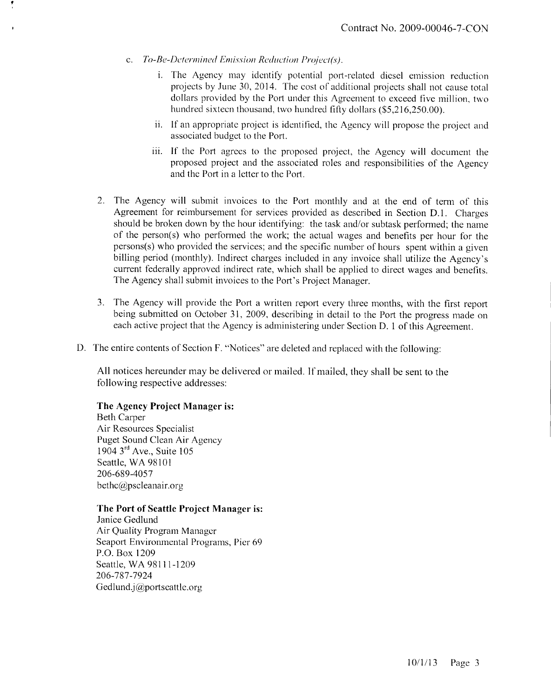- c. *To-Be-Dctermined Emission Reduction Pmject(s).*
	- i. The Agency may identify potential port-related diesel emission reduction projects by June 30, 2014. The cost of additional projects shall not cause total dollars provided by the Port under this Agreement to exceed five million, two hundred sixteen thousand, two hundred fifty dollars (\$5,216,250.00).
	- ii. If an appropriate project is identified, the Agency will propose the project and associated budget to the Port.
	- iii. If the Port agrees to the proposed project, the Agency will document the proposed project and the associated roles and responsibilities of the Agency and the Port in a letter to the Port.
- 2. The Agency will submit invoices to the Port monthly and at the end of term of this Agreement for reimbursement for services provided as described in Section D.I. Charges should be broken down by the hour identifying: the task and/or subtask performed; the name of the person(s) who performed the work; the actual wages and benefits per hour for the persons(s) who provided the services; and the specific number of hours spent within a given billing period (monthly). Indirect charges included in any invoice shall utilize the Agency's current federally approved indirect rate, which shall be applied to direct wages and benefits. The Agency shall submit invoices to the Port's Project Manager.
- 3. The Agency will provide the Port a written report every three months, with the first report being submitted on October 31, 2009, describing in detail to the Port the progress made on each active project that the Agency is administering under Section D. 1 of this Agreement.
- D. The entire contents of Section F. "Notices" are deleted and replaced with the following:

All notices hereunder may be delivered or mailed. If mailed, they shall be sent to the following respective addresses:

## **The Agency Project Manager is:**

Beth Carper Air Resources Specialist Puget Sound Clean Air Agency 1904 3<sup>rd</sup> Ave., Suite 105 Seattle, WA 98101 206-689-4057 bethc@pscleanair.org

## **The Port of Seattle Project Manager is:**

Janice Gedlund Air Quality Program Manager Seaport Environmental Programs, Pier 69 P.O.Box 1209 Seattle, WA 98111-1209 206-787-7924 Gedlund.j@portseattle.org